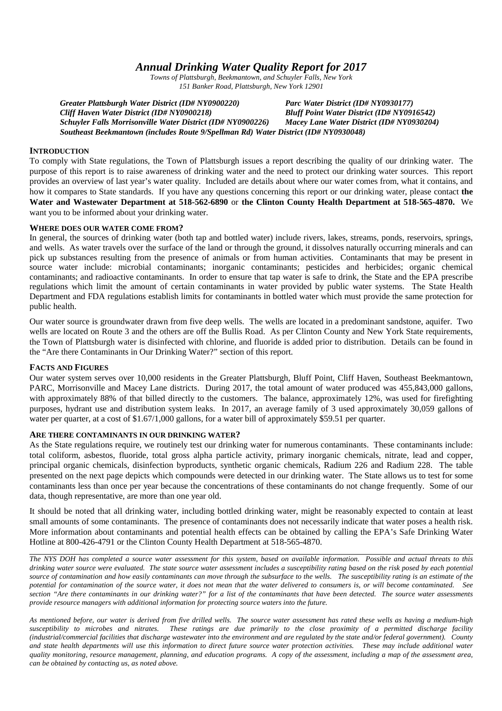# *Annual Drinking Water Quality Report for 2017*

*Towns of Plattsburgh, Beekmantown, and Schuyler Falls, New York 151 Banker Road, Plattsburgh, New York 12901*

*Greater Plattsburgh Water District (ID# NY0900220) Parc Water District (ID# NY0930177) Cliff Haven Water District (ID# NY0900218) Bluff Point Water District (ID# NY0916542) Schuyler Falls Morrisonville Water District (ID# NY0900226) Macey Lane Water District (ID# NY0930204) Southeast Beekmantown (includes Route 9/Spellman Rd) Water District (ID# NY0930048)*

#### **INTRODUCTION**

To comply with State regulations, the Town of Plattsburgh issues a report describing the quality of our drinking water. The purpose of this report is to raise awareness of drinking water and the need to protect our drinking water sources. This report provides an overview of last year's water quality. Included are details about where our water comes from, what it contains, and how it compares to State standards. If you have any questions concerning this report or our drinking water, please contact **the Water and Wastewater Department at 518-562-6890** or **the Clinton County Health Department at 518-565-4870.** We want you to be informed about your drinking water.

#### **WHERE DOES OUR WATER COME FROM?**

In general, the sources of drinking water (both tap and bottled water) include rivers, lakes, streams, ponds, reservoirs, springs, and wells. As water travels over the surface of the land or through the ground, it dissolves naturally occurring minerals and can pick up substances resulting from the presence of animals or from human activities. Contaminants that may be present in source water include: microbial contaminants; inorganic contaminants; pesticides and herbicides; organic chemical contaminants; and radioactive contaminants. In order to ensure that tap water is safe to drink, the State and the EPA prescribe regulations which limit the amount of certain contaminants in water provided by public water systems. The State Health Department and FDA regulations establish limits for contaminants in bottled water which must provide the same protection for public health.

Our water source is groundwater drawn from five deep wells. The wells are located in a predominant sandstone, aquifer. Two wells are located on Route 3 and the others are off the Bullis Road. As per Clinton County and New York State requirements, the Town of Plattsburgh water is disinfected with chlorine, and fluoride is added prior to distribution. Details can be found in the "Are there Contaminants in Our Drinking Water?" section of this report.

### **FACTS AND FIGURES**

Our water system serves over 10,000 residents in the Greater Plattsburgh, Bluff Point, Cliff Haven, Southeast Beekmantown, PARC, Morrisonville and Macey Lane districts. During 2017, the total amount of water produced was 455,843,000 gallons, with approximately 88% of that billed directly to the customers. The balance, approximately 12%, was used for firefighting purposes, hydrant use and distribution system leaks. In 2017, an average family of 3 used approximately 30,059 gallons of water per quarter, at a cost of \$1.67/1,000 gallons, for a water bill of approximately \$59.51 per quarter.

#### **ARE THERE CONTAMINANTS IN OUR DRINKING WATER?**

As the State regulations require, we routinely test our drinking water for numerous contaminants. These contaminants include: total coliform, asbestos, fluoride, total gross alpha particle activity, primary inorganic chemicals, nitrate, lead and copper, principal organic chemicals, disinfection byproducts, synthetic organic chemicals, Radium 226 and Radium 228. The table presented on the next page depicts which compounds were detected in our drinking water. The State allows us to test for some contaminants less than once per year because the concentrations of these contaminants do not change frequently. Some of our data, though representative, are more than one year old.

It should be noted that all drinking water, including bottled drinking water, might be reasonably expected to contain at least small amounts of some contaminants. The presence of contaminants does not necessarily indicate that water poses a health risk. More information about contaminants and potential health effects can be obtained by calling the EPA's Safe Drinking Water Hotline at 800-426-4791 or the Clinton County Health Department at 518-565-4870.

*The NYS DOH has completed a source water assessment for this system, based on available information. Possible and actual threats to this drinking water source were evaluated. The state source water assessment includes a susceptibility rating based on the risk posed by each potential source of contamination and how easily contaminants can move through the subsurface to the wells. The susceptibility rating is an estimate of the potential for contamination of the source water, it does not mean that the water delivered to consumers is, or will become contaminated. See section "Are there contaminants in our drinking water?" for a list of the contaminants that have been detected. The source water assessments provide resource managers with additional information for protecting source waters into the future.*

*As mentioned before, our water is derived from five drilled wells. The source water assessment has rated these wells as having a medium-high susceptibility to microbes and nitrates. These ratings are due primarily to the close proximity of a permitted discharge facility (industrial/commercial facilities that discharge wastewater into the environment and are regulated by the state and/or federal government). County and state health departments will use this information to direct future source water protection activities. These may include additional water quality monitoring, resource management, planning, and education programs. A copy of the assessment, including a map of the assessment area, can be obtained by contacting us, as noted above.*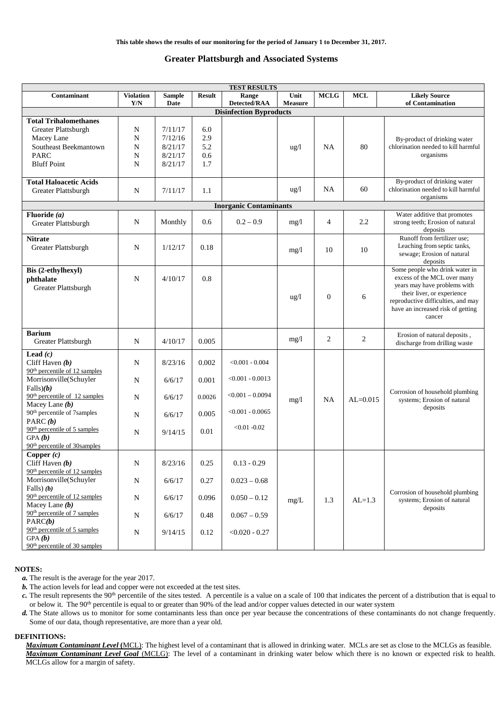#### **Greater Plattsburgh and Associated Systems**

| <b>TEST RESULTS</b>                                                                                                             |                         |                                                     |                                 |                                          |                        |                |            |                                                                                                                                                                                                                  |  |  |
|---------------------------------------------------------------------------------------------------------------------------------|-------------------------|-----------------------------------------------------|---------------------------------|------------------------------------------|------------------------|----------------|------------|------------------------------------------------------------------------------------------------------------------------------------------------------------------------------------------------------------------|--|--|
| Contaminant                                                                                                                     | <b>Violation</b><br>Y/N | <b>Sample</b><br>Date                               | <b>Result</b>                   | Range<br>Detected/RAA                    | Unit<br><b>Measure</b> | <b>MCLG</b>    | <b>MCL</b> | <b>Likely Source</b><br>of Contamination                                                                                                                                                                         |  |  |
| <b>Disinfection Byproducts</b>                                                                                                  |                         |                                                     |                                 |                                          |                        |                |            |                                                                                                                                                                                                                  |  |  |
| <b>Total Trihalomethanes</b><br>Greater Plattsburgh<br>Macey Lane<br>Southeast Beekmantown<br><b>PARC</b><br><b>Bluff Point</b> | N<br>N<br>N<br>N<br>N   | 7/11/17<br>7/12/16<br>8/21/17<br>8/21/17<br>8/21/17 | 6.0<br>2.9<br>5.2<br>0.6<br>1.7 |                                          | $\frac{u g}{l}$        | <b>NA</b>      | 80         | By-product of drinking water<br>chlorination needed to kill harmful<br>organisms                                                                                                                                 |  |  |
| <b>Total Haloacetic Acids</b><br>Greater Plattsburgh                                                                            | N                       | 7/11/17                                             | 1.1                             |                                          | $\frac{u g}{l}$        | NA             | 60         | By-product of drinking water<br>chlorination needed to kill harmful<br>organisms                                                                                                                                 |  |  |
|                                                                                                                                 |                         |                                                     |                                 | <b>Inorganic Contaminants</b>            |                        |                |            |                                                                                                                                                                                                                  |  |  |
| Fluoride $(a)$<br>Greater Plattsburgh                                                                                           | N                       | Monthly                                             | 0.6                             | $0.2 - 0.9$                              | mg/1                   | 4              | 2.2        | Water additive that promotes<br>strong teeth; Erosion of natural<br>deposits                                                                                                                                     |  |  |
| <b>Nitrate</b><br>Greater Plattsburgh                                                                                           | N                       | 1/12/17                                             | 0.18                            |                                          | mg/l                   | 10             | 10         | Runoff from fertilizer use;<br>Leaching from septic tanks,<br>sewage; Erosion of natural<br>deposits                                                                                                             |  |  |
| Bis (2-ethylhexyl)<br>phthalate<br>Greater Plattsburgh                                                                          | N                       | 4/10/17                                             | 0.8                             |                                          | $\frac{u g}{l}$        | $\overline{0}$ | 6          | Some people who drink water in<br>excess of the MCL over many<br>years may have problems with<br>their liver, or experience<br>reproductive difficulties, and may<br>have an increased risk of getting<br>cancer |  |  |
| <b>Barium</b><br>Greater Plattsburgh                                                                                            | N                       | 4/10/17                                             | 0.005                           |                                          | mg/1                   | 2              | 2          | Erosion of natural deposits,<br>discharge from drilling waste                                                                                                                                                    |  |  |
| Lead $(c)$<br>Cliff Haven $(b)$<br>90 <sup>th</sup> percentile of 12 samples                                                    | N                       | 8/23/16                                             | 0.002                           | $< 0.001 - 0.004$                        |                        |                |            |                                                                                                                                                                                                                  |  |  |
| Morrisonville(Schuyler<br>Falls(b)                                                                                              | N                       | 6/6/17                                              | 0.001                           | $< 0.001 - 0.0013$                       |                        |                |            | Corrosion of household plumbing                                                                                                                                                                                  |  |  |
| 90 <sup>th</sup> percentile of 12 samples<br>Macey Lane $(b)$<br>90 <sup>th</sup> percentile of 7samples                        | N<br>N                  | 6/6/17<br>6/6/17                                    | 0.0026<br>0.005                 | $< 0.001 - 0.0094$<br>$< 0.001 - 0.0065$ | mg/1                   | <b>NA</b>      | $AL=0.015$ | systems; Erosion of natural<br>deposits                                                                                                                                                                          |  |  |
| PARC $(b)$<br>90 <sup>th</sup> percentile of 5 samples<br>GPA(b)<br>90 <sup>th</sup> percentile of 30samples                    | N                       | 9/14/15                                             | 0.01                            | $< 0.01 - 0.02$                          |                        |                |            |                                                                                                                                                                                                                  |  |  |
| Copper $(c)$<br>Cliff Haven $(b)$<br>90 <sup>th</sup> percentile of 12 samples                                                  | ${\bf N}$               | 8/23/16                                             | 0.25                            | $0.13 - 0.29$                            |                        |                |            |                                                                                                                                                                                                                  |  |  |
| Morrisonville(Schuyler<br>Falls $)$ (b)                                                                                         | ${\bf N}$               | 6/6/17                                              | 0.27                            | $0.023 - 0.68$                           |                        |                |            | Corrosion of household plumbing                                                                                                                                                                                  |  |  |
| $90th$ percentile of 12 samples<br>Macey Lane $(b)$<br>90 <sup>th</sup> percentile of 7 samples                                 | ${\bf N}$               | 6/6/17<br>6/6/17                                    | 0.096                           | $0.050 - 0.12$                           | mg/L                   | 1.3            | $AL=1.3$   | systems; Erosion of natural<br>deposits                                                                                                                                                                          |  |  |
| PARC(b)<br>90 <sup>th</sup> percentile of 5 samples                                                                             | ${\bf N}$<br>${\bf N}$  | 9/14/15                                             | 0.48<br>0.12                    | $0.067 - 0.59$<br>$< 0.020 - 0.27$       |                        |                |            |                                                                                                                                                                                                                  |  |  |
| GPA(b)<br>90 <sup>th</sup> percentile of 30 samples                                                                             |                         |                                                     |                                 |                                          |                        |                |            |                                                                                                                                                                                                                  |  |  |

#### **NOTES:**

- *a.* The result is the average for the year 2017.
- *b.* The action levels for lead and copper were not exceeded at the test sites.
- *c*. The result represents the 90<sup>th</sup> percentile of the sites tested. A percentile is a value on a scale of 100 that indicates the percent of a distribution that is equal to or below it. The 90<sup>th</sup> percentile is equal to or greater than 90% of the lead and/or copper values detected in our water system
- *d.* The State allows us to monitor for some contaminants less than once per year because the concentrations of these contaminants do not change frequently. Some of our data, though representative, are more than a year old.

#### **DEFINITIONS:**

*Maximum Contaminant Level* **(**MCL): The highest level of a contaminant that is allowed in drinking water. MCLs are set as close to the MCLGs as feasible. *Maximum Contaminant Level Goal* (MCLG): The level of a contaminant in drinking water below which there is no known or expected risk to health. MCLGs allow for a margin of safety.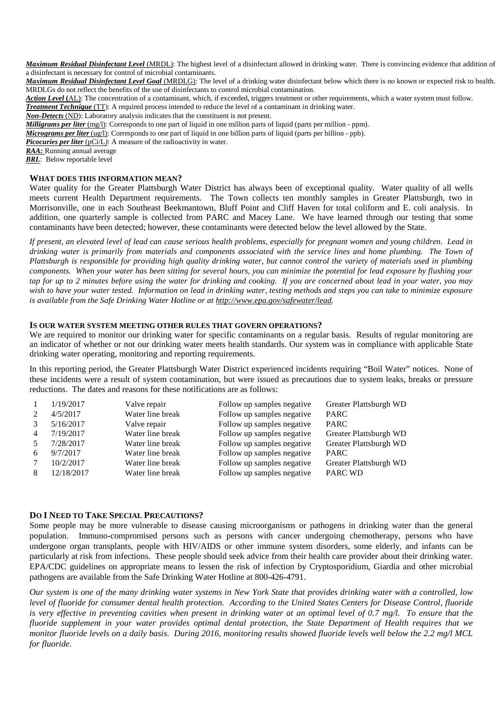*Maximum Residual Disinfectant Level* (MRDL): The highest level of a disinfectant allowed in drinking water. There is convincing evidence that addition of a disinfectant is necessary for control of microbial contaminants.

*Maximum Residual Disinfectant Level Goal* (MRDLG): The level of a drinking water disinfectant below which there is no known or expected risk to health. MRDLGs do not reflect the benefits of the use of disinfectants to control microbial contamination.

*Action Level* **(**AL): The concentration of a contaminant, which, if exceeded, triggers treatment or other requirements, which a water system must follow.

*Treatment Technique* (TT): A required process intended to reduce the level of a contaminant in drinking water.

*Non-Detects* (ND): Laboratory analysis indicates that the constituent is not present.

*Milligrams per liter* (mg/l): Corresponds to one part of liquid in one million parts of liquid (parts per million - ppm).

*Micrograms per liter* (ug/l): Corresponds to one part of liquid in one billion parts of liquid (parts per billion - ppb).

*Picocuries per liter* (pCi/L): A measure of the radioactivity in water.

*RAA:* Running annual average

*BRL*: Below reportable level

#### **WHAT DOES THIS INFORMATION MEAN?**

Water quality for the Greater Plattsburgh Water District has always been of exceptional quality. Water quality of all wells meets current Health Department requirements. The Town collects ten monthly samples in Greater Plattsburgh, two in Morrisonville, one in each Southeast Beekmantown, Bluff Point and Cliff Haven for total coliform and E. coli analysis. In addition, one quarterly sample is collected from PARC and Macey Lane. We have learned through our testing that some contaminants have been detected; however, these contaminants were detected below the level allowed by the State.

*If present, an elevated level of lead can cause serious health problems, especially for pregnant women and young children. Lead in drinking water is primarily from materials and components associated with the service lines and home plumbing. The Town of Plattsburgh is responsible for providing high quality drinking water, but cannot control the variety of materials used in plumbing components. When your water has been sitting for several hours, you can minimize the potential for lead exposure by flushing your tap for up to 2 minutes before using the water for drinking and cooking. If you are concerned about lead in your water, you may wish to have your water tested. Information on lead in drinking water, testing methods and steps you can take to minimize exposure is available from the Safe Drinking Water Hotline or at http://www.epa.gov/safewater/lead.*

### **IS OUR WATER SYSTEM MEETING OTHER RULES THAT GOVERN OPERATIONS?**

We are required to monitor our drinking water for specific contaminants on a regular basis. Results of regular monitoring are an indicator of whether or not our drinking water meets health standards. Our system was in compliance with applicable State drinking water operating, monitoring and reporting requirements.

In this reporting period, the Greater Plattsburgh Water District experienced incidents requiring "Boil Water" notices. None of these incidents were a result of system contamination, but were issued as precautions due to system leaks, breaks or pressure reductions. The dates and reasons for these notifications are as follows:

|                | 1/19/2017  | Valve repair     | Follow up samples negative | Greater Plattsburgh WD |
|----------------|------------|------------------|----------------------------|------------------------|
|                | 4/5/2017   | Water line break | Follow up samples negative | <b>PARC</b>            |
| $\mathcal{R}$  | 5/16/2017  | Valve repair     | Follow up samples negative | <b>PARC</b>            |
| $\overline{4}$ | 7/19/2017  | Water line break | Follow up samples negative | Greater Plattsburgh WD |
| .5             | 7/28/2017  | Water line break | Follow up samples negative | Greater Plattsburgh WD |
| 6              | 9/7/2017   | Water line break | Follow up samples negative | <b>PARC</b>            |
|                | 10/2/2017  | Water line break | Follow up samples negative | Greater Plattsburgh WD |
|                | 12/18/2017 | Water line break | Follow up samples negative | PARC WD                |

### **DO I NEED TO TAKE SPECIAL PRECAUTIONS?**

Some people may be more vulnerable to disease causing microorganisms or pathogens in drinking water than the general population. Immuno-compromised persons such as persons with cancer undergoing chemotherapy, persons who have undergone organ transplants, people with HIV/AIDS or other immune system disorders, some elderly, and infants can be particularly at risk from infections. These people should seek advice from their health care provider about their drinking water. EPA/CDC guidelines on appropriate means to lessen the risk of infection by Cryptosporidium, Giardia and other microbial pathogens are available from the Safe Drinking Water Hotline at 800-426-4791.

*Our system is one of the many drinking water systems in New York State that provides drinking water with a controlled, low level of fluoride for consumer dental health protection. According to the United States Centers for Disease Control, fluoride is very effective in preventing cavities when present in drinking water at an optimal level of 0.7 mg/l. To ensure that the fluoride supplement in your water provides optimal dental protection, the State Department of Health requires that we monitor fluoride levels on a daily basis. During 2016, monitoring results showed fluoride levels well below the 2.2 mg/l MCL for fluoride.*